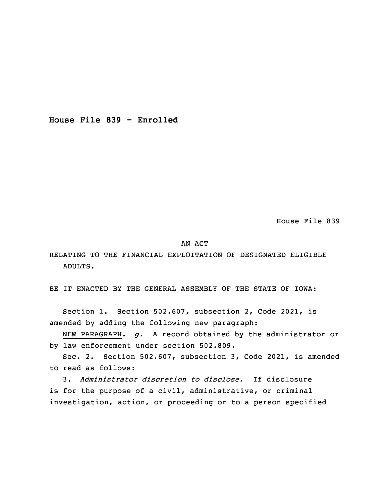**House File 839 - Enrolled**

House File 839

## AN ACT

RELATING TO THE FINANCIAL EXPLOITATION OF DESIGNATED ELIGIBLE ADULTS.

BE IT ENACTED BY THE GENERAL ASSEMBLY OF THE STATE OF IOWA:

 Section 1. Section 502.607, subsection 2, Code 2021, is amended by adding the following new paragraph:

NEW PARAGRAPH. *g.* A record obtained by the administrator or by law enforcement under section 502.809.

5 Sec. 2. Section 502.607, subsection 3, Code 2021, is amended 6 to read as follows:

7 3. *Administrator discretion to disclose.* If disclosure is for the purpose of a civil, administrative, or criminal investigation, action, or proceeding or to a person specified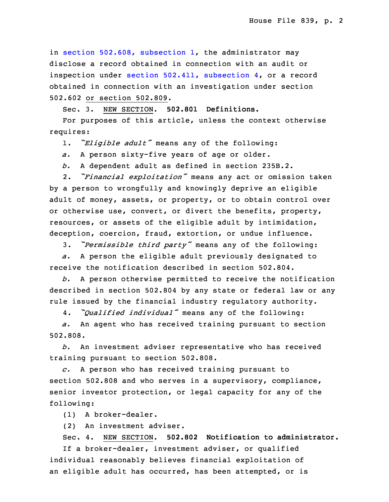in section 502.608, [subsection](https://www.legis.iowa.gov/docs/code/2021/502.608.pdf)  $1$ , the administrator may disclose <sup>a</sup> record obtained in connection with an audit or inspection under section 502.411, [subsection](https://www.legis.iowa.gov/docs/code/2021/502.411.pdf) 4, or <sup>a</sup> record obtained in connection with an investigation under section 502.602 or section 502.809.

15 Sec. 3. NEW SECTION. **502.801 Definitions.**

For purposes of this article, unless the context otherwise requires:

1. *"Eligible adult"* means any of the following:

a. A person sixty-five years of age or older.

20 *b.* <sup>A</sup> dependent adult as defined in section 235B.2.

 2. *"Financial exploitation"* means any act or omission taken by <sup>a</sup> person to wrongfully and knowingly deprive an eligible adult of money, assets, or property, or to obtain control over or otherwise use, convert, or divert the benefits, property, resources, or assets of the eligible adult by intimidation, deception, coercion, fraud, extortion, or undue influence.

27 3. *"Permissible third party"* means any of the following:

a. A person the eligible adult previously designated to 29 receive the notification described in section 502.804.

b. A person otherwise permitted to receive the notification described in section 502.804 by any state or federal law or any rule issued by the financial industry regulatory authority.

<sup>33</sup> 4. *"Qualified individual"* means any of the following:

a. An agent who has received training pursuant to section 502.808.

 *b.* An investment adviser representative who has received training pursuant to section 502.808.

3 *c.* <sup>A</sup> person who has received training pursuant to section 502.808 and who serves in <sup>a</sup> supervisory, compliance, senior investor protection, or legal capacity for any of the following:

(1) A broker-dealer.

(2) An investment adviser.

9 Sec. 4. NEW SECTION. **502.802 Notification to administrator.**

If a broker-dealer, investment adviser, or qualified individual reasonably believes financial exploitation of an eligible adult has occurred, has been attempted, or is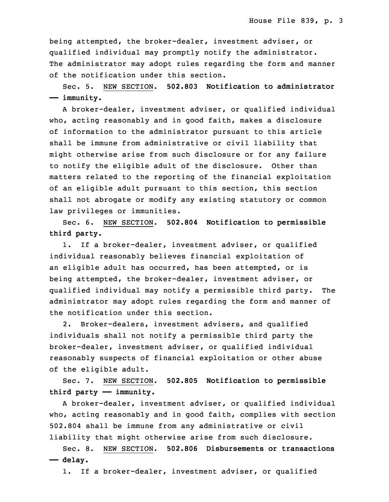being attempted, the broker-dealer, investment adviser, or qualified individual may promptly notify the administrator. The administrator may adopt rules regarding the form and manner of the notification under this section.

17 Sec. 5. NEW SECTION. **502.803 Notification to administrator** 18 **—— immunity.**

A broker-dealer, investment adviser, or qualified individual who, acting reasonably and in good faith, makes a disclosure of information to the administrator pursuant to this article shall be immune from administrative or civil liability that might otherwise arise from such disclosure or for any failure to notify the eligible adult of the disclosure. Other than matters related to the reporting of the financial exploitation of an eligible adult pursuant to this section, this section shall not abrogate or modify any existing statutory or common law privileges or immunities.

29 Sec. 6. NEW SECTION. **502.804 Notification to permissible** 30 **third party.**

1. If a broker-dealer, investment adviser, or qualified individual reasonably believes financial exploitation of an eligible adult has occurred, has been attempted, or is being attempted, the broker-dealer, investment adviser, or qualified individual may notify a permissible third party. The administrator may adopt rules regarding the form and manner of the notification under this section.

2. Broker-dealers, investment advisers, and qualified individuals shall not notify <sup>a</sup> permissible third party the 5 broker-dealer, investment adviser, or qualified individual reasonably suspects of financial exploitation or other abuse of the eligible adult.

8 Sec. 7. NEW SECTION. **502.805 Notification to permissible** 9 **third party —— immunity.**

A broker-dealer, investment adviser, or qualified individual who, acting reasonably and in good faith, complies with section 502.804 shall be immune from any administrative or civil liability that might otherwise arise from such disclosure.

 Sec. 8. NEW SECTION. **502.806 Disbursements or transactions** 15 **—— delay.**

1. If a broker-dealer, investment adviser, or qualified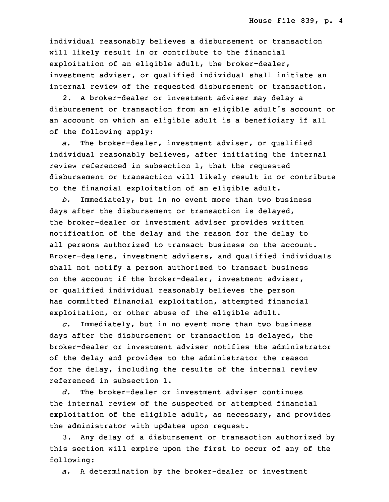individual reasonably believes a disbursement or transaction will likely result in or contribute to the financial exploitation of an eligible adult, the broker-dealer, investment adviser, or qualified individual shall initiate an internal review of the requested disbursement or transaction.

 2. <sup>A</sup> broker-dealer or investment adviser may delay <sup>a</sup> disbursement or transaction from an eligible adult's account or an account on which an eligible adult is <sup>a</sup> beneficiary if all of the following apply:

a. The broker-dealer, investment adviser, or qualified individual reasonably believes, after initiating the internal review referenced in subsection 1, that the requested disbursement or transaction will likely result in or contribute to the financial exploitation of an eligible adult.

b. Immediately, but in no event more than two business days after the disbursement or transaction is delayed, the broker-dealer or investment adviser provides written notification of the delay and the reason for the delay to all persons authorized to transact business on the account. Broker-dealers, investment advisers, and qualified individuals shall not notify <sup>a</sup> person authorized to transact business on the account if the broker-dealer, investment adviser, or qualified individual reasonably believes the person has committed financial exploitation, attempted financial exploitation, or other abuse of the eligible adult.

7 *c.* Immediately, but in no event more than two business days after the disbursement or transaction is delayed, the 9 broker-dealer or investment adviser notifies the administrator of the delay and provides to the administrator the reason for the delay, including the results of the internal review referenced in subsection 1.

13 *d.* The broker-dealer or investment adviser continues the internal review of the suspected or attempted financial exploitation of the eligible adult, as necessary, and provides the administrator with updates upon request.

3. Any delay of a disbursement or transaction authorized by this section will expire upon the first to occur of any of the following:

a. A determination by the broker-dealer or investment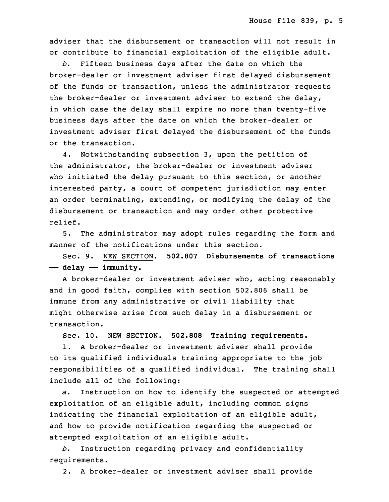adviser that the disbursement or transaction will not result in or contribute to financial exploitation of the eligible adult.

23 *b.* Fifteen business days after the date on which the broker-dealer or investment adviser first delayed disbursement of the funds or transaction, unless the administrator requests the broker-dealer or investment adviser to extend the delay, in which case the delay shall expire no more than twenty-five business days after the date on which the broker-dealer or investment adviser first delayed the disbursement of the funds or the transaction.

4. Notwithstanding subsection 3, upon the petition of the administrator, the broker-dealer or investment adviser who initiated the delay pursuant to this section, or another interested party, a court of competent jurisdiction may enter an order terminating, extending, or modifying the delay of the disbursement or transaction and may order other protective relief.

5. The administrator may adopt rules regarding the form and manner of the notifications under this section.

5 Sec. 9. NEW SECTION. **502.807 Disbursements of transactions** 6 **—— delay —— immunity.**

7 <sup>A</sup> broker-dealer or investment adviser who, acting reasonably and in good faith, complies with section 502.806 shall be immune from any administrative or civil liability that might otherwise arise from such delay in a disbursement or transaction.

Sec. 10. NEW SECTION. **502.808 Training requirements.**

1. A broker-dealer or investment adviser shall provide to its qualified individuals training appropriate to the job responsibilities of a qualified individual. The training shall include all of the following:

a. Instruction on how to identify the suspected or attempted exploitation of an eligible adult, including common signs indicating the financial exploitation of an eligible adult, and how to provide notification regarding the suspected or attempted exploitation of an eligible adult.

 *b.* Instruction regarding privacy and confidentiality requirements.

2. <sup>A</sup> broker-dealer or investment adviser shall provide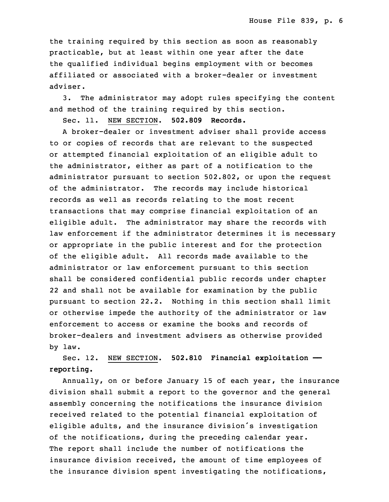the training required by this section as soon as reasonably practicable, but at least within one year after the date the qualified individual begins employment with or becomes affiliated or associated with a broker-dealer or investment adviser.

3. The administrator may adopt rules specifying the content and method of the training required by this section.

32 Sec. 11. NEW SECTION. **502.809 Records.**

A broker-dealer or investment adviser shall provide access to or copies of records that are relevant to the suspected or attempted financial exploitation of an eligible adult to the administrator, either as part of <sup>a</sup> notification to the administrator pursuant to section 502.802, or upon the request of the administrator. The records may include historical records as well as records relating to the most recent transactions that may comprise financial exploitation of an eligible adult. The administrator may share the records with law enforcement if the administrator determines it is necessary or appropriate in the public interest and for the protection of the eligible adult. All records made available to the administrator or law enforcement pursuant to this section shall be considered confidential public records under chapter 22 and shall not be available for examination by the public pursuant to section 22.2. Nothing in this section shall limit or otherwise impede the authority of the administrator or law enforcement to access or examine the books and records of 16 broker-dealers and investment advisers as otherwise provided by law.

18 Sec. 12. NEW SECTION. **502.810 Financial exploitation ——** 19 **reporting.**

Annually, on or before January 15 of each year, the insurance division shall submit <sup>a</sup> report to the governor and the general assembly concerning the notifications the insurance division received related to the potential financial exploitation of eligible adults, and the insurance division's investigation of the notifications, during the preceding calendar year. The report shall include the number of notifications the insurance division received, the amount of time employees of the insurance division spent investigating the notifications,